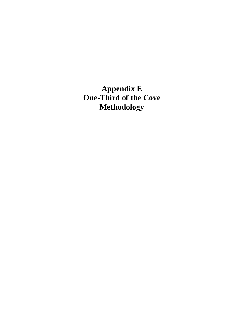**Appendix E One-Third of the Cove Methodology**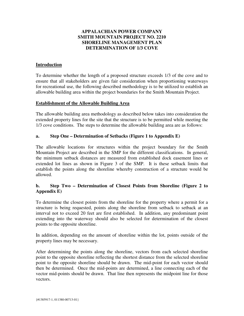### **APPALACHIAN POWER COMPANY SMITH MOUNTAIN PROJECT NO. 2210 SHORELINE MANAGEMENT PLAN DETERMINATION OF 1/3 COVE**

### **Introduction**

To determine whether the length of a proposed structure exceeds 1/3 of the cove and to ensure that all stakeholders are given fair consideration when proportioning waterways for recreational use, the following described methodology is to be utilized to establish an allowable building area within the project boundaries for the Smith Mountain Project.

#### **Establishment of the Allowable Building Area**

The allowable building area methodology as described below takes into consideration the extended property lines for the site that the structure is to be permitted while meeting the 1/3 cove conditions. The steps to determine the allowable building area are as follows:

### **a. Step One – Determination of Setbacks (Figure 1 to Appendix E)**

The allowable locations for structures within the project boundary for the Smith Mountain Project are described in the SMP for the different classifications. In general, the minimum setback distances are measured from established dock easement lines or extended lot lines as shown in Figure 3 of the SMP. It is these setback limits that establish the points along the shoreline whereby construction of a structure would be allowed.

## **b. Step Two – Determination of Closest Points from Shoreline (Figure 2 to Appendix E)**

To determine the closest points from the shoreline for the property where a permit for a structure is being requested, points along the shoreline from setback to setback at an interval not to exceed 20 feet are first established. In addition, any predominant point extending into the waterway should also be selected for determination of the closest points to the opposite shoreline.

In addition, depending on the amount of shoreline within the lot, points outside of the property lines may be necessary.

After determining the points along the shoreline, vectors from each selected shoreline point to the opposite shoreline reflecting the shortest distance from the selected shoreline point to the opposite shoreline should be drawn. The mid-point for each vector should then be determined. Once the mid-points are determined, a line connecting each of the vector mid-points should be drawn. That line then represents the midpoint line for those vectors.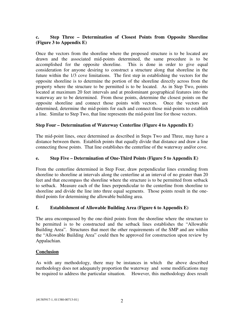# **c. Step Three – Determination of Closest Points from Opposite Shoreline (Figure 3 to Appendix E)**

Once the vectors from the shoreline where the proposed structure is to be located are drawn and the associated mid-points determined, the same procedure is to be accomplished for the opposite shoreline. This is done in order to give equal consideration for anyone desiring to construct a structure along that shoreline in the future within the 1/3 cove limitations. The first step in establishing the vectors for the opposite shoreline is to determine the portion of the shoreline directly across from the property where the structure to be permitted is to be located. As in Step Two, points located at maximum 20 feet intervals and at predominant geographical features into the waterway are to be determined. From those points, determine the closest points on the opposite shoreline and connect those points with vectors. Once the vectors are determined, determine the mid-points for each and connect those mid-points to establish a line. Similar to Step Two, that line represents the mid-point line for those vectors.

## **Step Four – Determination of Waterway Centerline (Figure 4 to Appendix E)**

The mid-point lines, once determined as described in Steps Two and Three, may have a distance between them. Establish points that equally divide that distance and draw a line connecting those points. That line establishes the centerline of the waterway and/or cove.

## **e. Step Five – Determination of One-Third Points (Figure 5 to Appendix E)**

From the centerline determined in Step Four, draw perpendicular lines extending from shoreline to shoreline at intervals along the centerline at an interval of no greater than 20 feet and that encompass the shoreline where the structure is to be permitted from setback to setback. Measure each of the lines perpendicular to the centerline from shoreline to shoreline and divide the line into three equal segments. Those points result in the onethird points for determining the allowable building area.

## **f. Establishment of Allowable Building Area (Figure 6 to Appendix E)**

The area encompassed by the one-third points from the shoreline where the structure to be permitted is to be constructed and the setback lines establishes the "Allowable Building Area". Structures that meet the other requirements of the SMP and are within the "Allowable Building Area" could then be approved for construction upon review by Appalachian.

## **Conclusion**

As with any methodology, there may be instances in which the above described methodology does not adequately proportion the waterway and some modifications may be required to address the particular situation. However, this methodology does result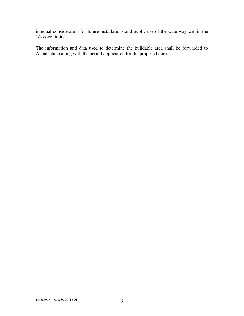in equal consideration for future installations and public use of the waterway within the 1/3 cove limits.

The information and data used to determine the buildable area shall be forwarded to Appalachian along with the permit application for the proposed dock.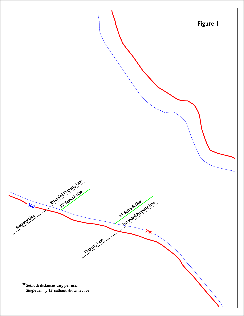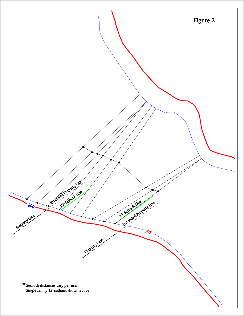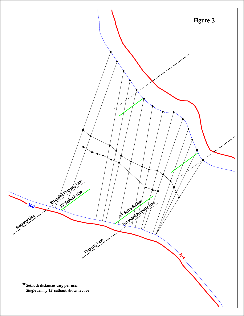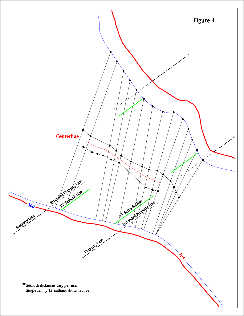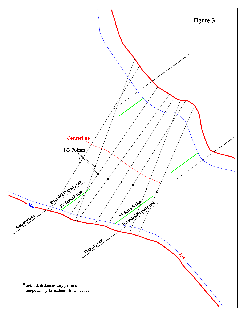